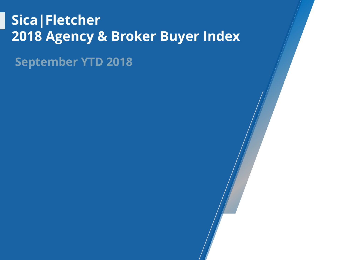### **Sica|Fletcher 2018 Agency & Broker Buyer Index**

**September YTD 2018**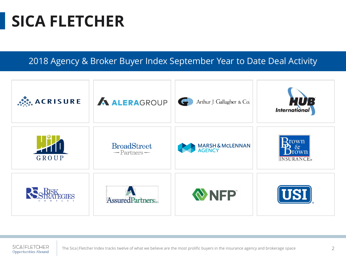### **SICA FLETCHER**

2018 Agency & Broker Buyer Index September Year to Date Deal Activity



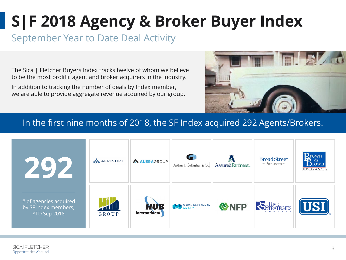### September Year to Date Deal Activity

The Sica | Fletcher Buyers Index tracks twelve of whom we believe to be the most prolific agent and broker acquirers in the industry.

In addition to tracking the number of deals by Index member, we are able to provide aggregate revenue acquired by our group.



#### In the first nine months of 2018, the SF Index acquired 292 Agents/Brokers.

|                                                                | $\mathbb{R}^2$ ACRISURE | A ALERAGROUP                       | Arthur J. Gallagher & Co. | AssuredPartners | <b>BroadStreet</b><br>$-$ Partners $-$ | $\mathbf{B}_{\text{rown}}^{\text{rown}}$<br><b>INSURANCE</b> ® |
|----------------------------------------------------------------|-------------------------|------------------------------------|---------------------------|-----------------|----------------------------------------|----------------------------------------------------------------|
| # of agencies acquired<br>by SF index members,<br>YTD Sep 2018 | 71 I<br>GROUP           | <b>HUB</b><br><b>International</b> | MARSH& MCLENNAN           | NFP             | RS RISK                                | <b>VST</b>                                                     |

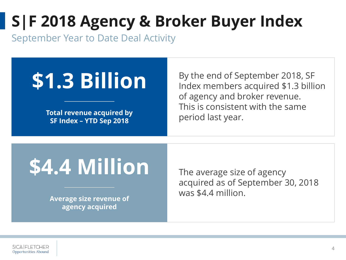September Year to Date Deal Activity

# **\$1.3 Billion**

**Total revenue acquired by SF Index – YTD Sep 2018**

By the end of September 2018, SF Index members acquired \$1.3 billion of agency and broker revenue. This is consistent with the same period last year.

# **\$4.4 Million**

**Average size revenue of agency acquired**

The average size of agency acquired as of September 30, 2018 was \$4.4 million.

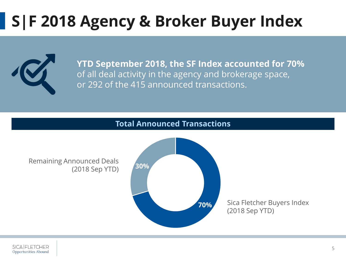

**YTD September 2018, the SF Index accounted for 70%** of all deal activity in the agency and brokerage space, or 292 of the 415 announced transactions.

#### **Total Announced Transactions**

Remaining Announced Deals (2018 Sep YTD)



Sica Fletcher Buyers Index (2018 Sep YTD)

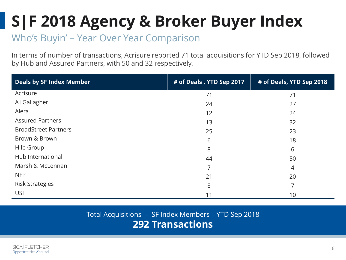### Who's Buyin' – Year Over Year Comparison

In terms of number of transactions, Acrisure reported 71 total acquisitions for YTD Sep 2018, followed by Hub and Assured Partners, with 50 and 32 respectively.

| <b>Deals by SF Index Member</b> | # of Deals, YTD Sep 2017 | # of Deals, YTD Sep 2018 |  |
|---------------------------------|--------------------------|--------------------------|--|
| Acrisure                        | 71                       | 71                       |  |
| AJ Gallagher                    | 24                       | 27                       |  |
| Alera                           | 12                       | 24                       |  |
| <b>Assured Partners</b>         | 13                       | 32                       |  |
| <b>BroadStreet Partners</b>     | 25                       | 23                       |  |
| Brown & Brown                   | 6                        | 18                       |  |
| Hilb Group                      | 8                        | 6                        |  |
| Hub International               | 44                       | 50                       |  |
| Marsh & McLennan                | 7                        | 4                        |  |
| <b>NFP</b>                      | 21                       | 20                       |  |
| <b>Risk Strategies</b>          | 8                        | 7                        |  |
| <b>USI</b>                      | 11                       | 10                       |  |

#### Total Acquisitions – SF Index Members – YTD Sep 2018 **292 Transactions**

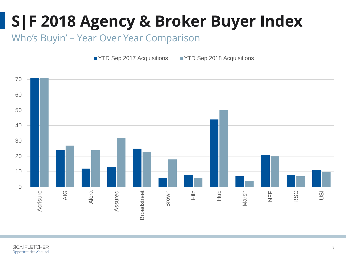Who's Buyin' – Year Over Year Comparison

■ YTD Sep 2017 Acquisitions ■ YTD Sep 2018 Acquisitions

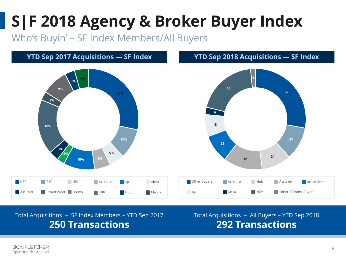Who's Buyin' – SF Index Members/All Buyers

#### **YTD Sep 2017 Acquisitions — SF Index**



#### **YTD Sep 2018 Acquisitions — SF Index**



Total Acquisitions – SF Index Members – YTD Sep 2017 **250 Transactions**

Total Acquisitions – All Buyers – YTD Sep 2018 **292 Transactions**

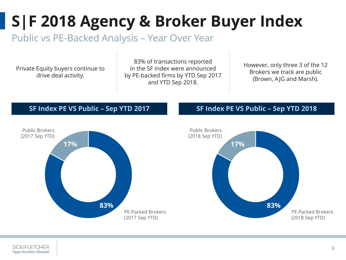#### Public vs PE-Backed Analysis – Year Over Year

Private Equity buyers continue to drive deal activity.

83% of transactions reported in the SF Index were announced by PE-backed firms by YTD Sep 2017 and YTD Sep 2018.

However, only three 3 of the 12 Brokers we track are public (Brown, AJG and Marsh).

#### **SF Index PE VS Public – Sep YTD 2017**



#### **SF Index PE VS Public – Sep YTD 2018**



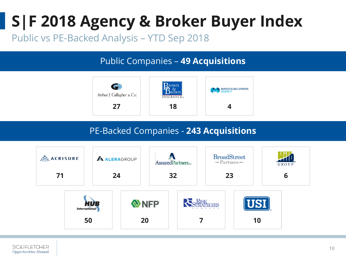Public vs PE-Backed Analysis – YTD Sep 2018

#### Public Companies – **49 Acquisitions**



#### PE-Backed Companies - **243 Acquisitions**